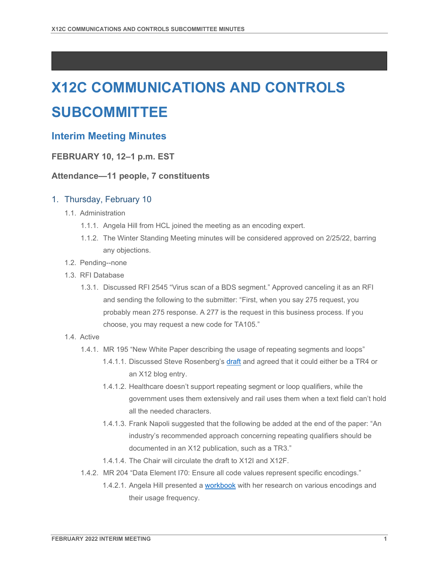# **X12C COMMUNICATIONS AND CONTROLS SUBCOMMITTEE**

# **Interim Meeting Minutes**

## **FEBRUARY 10, 12–1 p.m. EST**

### **Attendance—11 people, 7 constituents**

### 1. Thursday, February 10

- 1.1. Administration
	- 1.1.1. Angela Hill from HCL joined the meeting as an encoding expert.
	- 1.1.2. The Winter Standing Meeting minutes will be considered approved on 2/25/22, barring any objections.
- 1.2. Pending--none
- 1.3. RFI Database
	- 1.3.1. Discussed RFI 2545 "Virus scan of a BDS segment." Approved canceling it as an RFI and sending the following to the submitter: "First, when you say 275 request, you probably mean 275 response. A 277 is the request in this business process. If you choose, you may request a new code for TA105."
- 1.4. Active
	- 1.4.1. MR 195 "New White Paper describing the usage of repeating segments and loops"
		- 1.4.1.1. Discussed Steve Rosenberg's [draft](https://x12.imeetcentral.com/x12c/folder/WzIwLDQ2OTQzMzRd/WzIsODIwODQzMDNd/?&pgref=) and agreed that it could either be a TR4 or an X12 blog entry.
		- 1.4.1.2. Healthcare doesn't support repeating segment or loop qualifiers, while the government uses them extensively and rail uses them when a text field can't hold all the needed characters.
		- 1.4.1.3. Frank Napoli suggested that the following be added at the end of the paper: "An industry's recommended approach concerning repeating qualifiers should be documented in an X12 publication, such as a TR3."
		- 1.4.1.4. The Chair will circulate the draft to X12I and X12F.
	- 1.4.2. MR 204 "Data Element I70: Ensure all code values represent specific encodings."
		- 1.4.2.1. Angela Hill presented a [workbook](https://x12.imeetcentral.com/x12c/folder/WzIwLDQ2OTQzMzRd/WzIsODIwNzcwMzVd/) with her research on various encodings and their usage frequency.